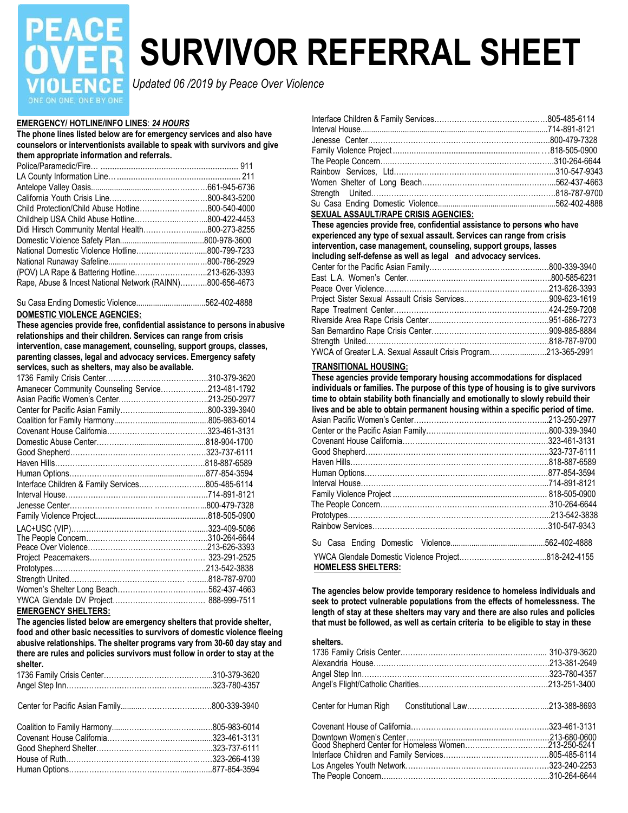# **PEACE**

# **SURVIVOR REFERRAL SHEET**

*Updated 06 /2019 by Peace Over Violence*

# **EMERGENCY/ HOTLINE/INFO LINES**: *24 HOURS*

**The phone lines listed below are for emergency services and also have counselors or interventionists available to speak with survivors and give them appropriate information and referrals.**

| Rape, Abuse & Incest National Network (RAINN)800-656-4673 |  |
|-----------------------------------------------------------|--|
|                                                           |  |
|                                                           |  |
|                                                           |  |
|                                                           |  |
|                                                           |  |
|                                                           |  |
|                                                           |  |
|                                                           |  |
|                                                           |  |
|                                                           |  |
|                                                           |  |

#### Su Casa Ending Domestic Violence.................................562-402-4888 **DOMESTIC VIOLENCE AGENCIES:**

**These agencies provide free, confidential assistance to persons in abusive relationships and their children. Services can range from crisis intervention, case management, counseling, support groups, classes, parenting classes, legal and advocacy services. Emergency safety services, such as shelters, may also be available.**

| 310-379-3620                                      |
|---------------------------------------------------|
| Amanecer Community Counseling Service213-481-1792 |
|                                                   |
|                                                   |
|                                                   |
|                                                   |
|                                                   |
|                                                   |
|                                                   |
|                                                   |
| Interface Children & Family Services805-485-6114  |
|                                                   |
|                                                   |
|                                                   |
|                                                   |
|                                                   |
|                                                   |
|                                                   |
|                                                   |
|                                                   |
|                                                   |
|                                                   |
|                                                   |

#### **EMERGENCY SHELTERS:**

**The agencies listed below are emergency shelters that provide shelter, food and other basic necessities to survivors of domestic violence fleeing abusive relationships. The shelter programs vary from 30-60 day stay and there are rules and policies survivors must follow in order to stay at the shelter.**

| <b>SEXUAL ASSAULT/RAPE CRISIS AGENCIES:</b>                                       |                                                                   |  |  |
|-----------------------------------------------------------------------------------|-------------------------------------------------------------------|--|--|
| These agencies provide free, confidential assistance to persons who have          |                                                                   |  |  |
| experienced any type of sexual assault. Services can range from crisis            |                                                                   |  |  |
|                                                                                   | intervention, case management, counseling, support groups, lasses |  |  |
| including self-defense as well as legal and advocacy services.                    |                                                                   |  |  |
|                                                                                   |                                                                   |  |  |
|                                                                                   |                                                                   |  |  |
|                                                                                   |                                                                   |  |  |
|                                                                                   |                                                                   |  |  |
|                                                                                   |                                                                   |  |  |
|                                                                                   |                                                                   |  |  |
|                                                                                   |                                                                   |  |  |
|                                                                                   |                                                                   |  |  |
| Strength United<br>YWCA of Greater L.A. Sexual Assault Crisis Program213-365-2991 |                                                                   |  |  |

# **TRANSITIONAL HOUSING:**

**These agencies provide temporary housing accommodations for displaced individuals or families. The purpose of this type of housing is to give survivors time to obtain stability both financially and emotionally to slowly rebuild their lives and be able to obtain permanent housing within a specific period of time.**  Asian Pacific Women's Center……………………………………………...213-250-2977 Center or the Pacific Asian Family………………………………………….800-339-3940 Covenant House California………………………………………………….323-461-3131 Good Shepherd……………………………………………………………….323-737-6111 Haven Hills…………………………………………………………………….818-887-6589 Human Options……………………………………………………………….877-854-3594 Interval House………………………………………………………………...714-891-8121 Family Violence Project .................................................................. 818-505-0900 The People Concern…..……………….…………………..…………………310-264-6644 Prototypes……………………………………………………………………...213-542-3838 Rainbow Services……………………………………………………….……310-547-9343 Su Casa Ending Domestic Violence.............................................562-402-4888 YWCA Glendale Domestic Violence Project……………………………..818-242-4155 **HOMELESS SHELTERS:**

**The agencies below provide temporary residence to homeless individuals and seek to protect vulnerable populations from the effects of homelessness. The length of stay at these shelters may vary and there are also rules and policies that must be followed, as well as certain criteria to be eligible to stay in these**

### **shelters.**

| avasive relationships. The shelter programs vary from 00-00 day stay and<br>there are rules and policies survivors must follow in order to stay at the<br>shelter. |  |  |
|--------------------------------------------------------------------------------------------------------------------------------------------------------------------|--|--|
|                                                                                                                                                                    |  |  |
|                                                                                                                                                                    |  |  |
|                                                                                                                                                                    |  |  |